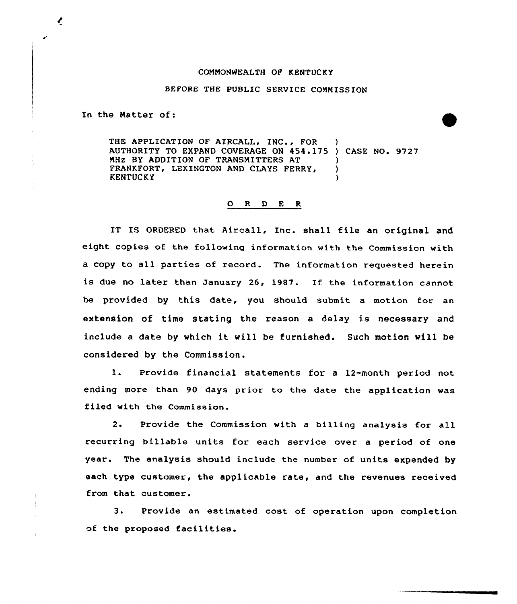## CONNONHEALTH OF KENTUCKY

## BEFORE THE PUBLIC SERVICE COMMISSION

In the Natter of:

THE APPLICATION OF AIRCALL, INC., FOR AUTHORITY TO EXPAND COVERAGE ON 454.175 ) CASE NO. 9727 MHZ BY ADDITION OF TRANSMITTERS AT FRANKFORT, LEXINGTON AND CLAYS FERRY, ) **KENTUCKY** 

## 0 <sup>R</sup> <sup>D</sup> E <sup>R</sup>

IT IS ORDERED that Aircall, Inc. shall file an original and eight copies of the following information with the Commission with a copy to all parties of record. The information requested herein is due no later than January 26, 1987. If the information cannot be provided by this date, you should submit a motion for an extension of time stating the reason <sup>a</sup> delay is necessary and include <sup>a</sup> date by which it vill be furnished. Such motion vill be considered by the Commission.

1. Provide financial statements for <sup>a</sup> 12-month period not ending more than 90 days prior to the date the application was filed with the Commission.

2. Provide the Commission with a billing analysis for all recurring billable units for each service over a period of one year. The analysis should include the number of units expended by each type customer, the applicable rate, and the revenues received from that customer.

3. Provide an estimated cost of operation upon completion of the proposed facilities.

 $\mathbf{I}$  $\cdot$